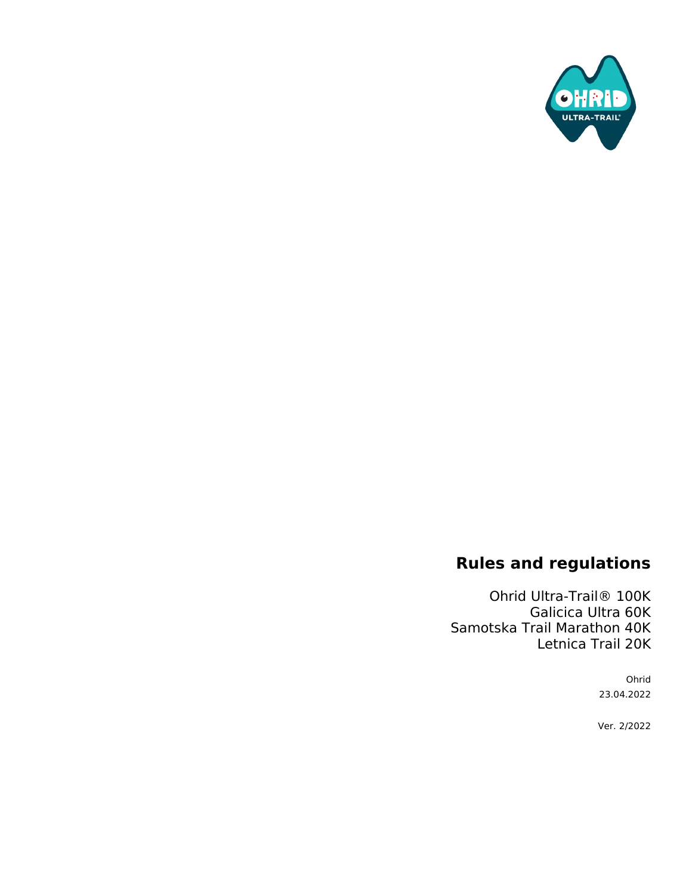

# **Rules and regulations**

Ohrid Ultra-Trail® 100K Galicica Ultra 60K Samotska Trail Marathon 40K Letnica Trail 20K

> Ohrid 23.04.2022

Ver. 2/2022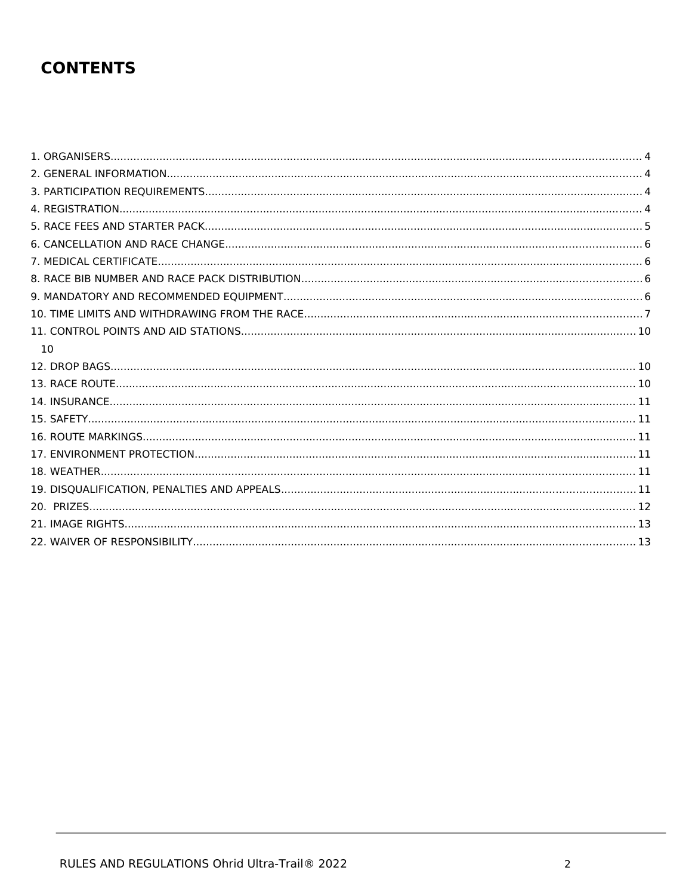## **CONTENTS**

| 10 |  |
|----|--|
|    |  |
|    |  |
|    |  |
|    |  |
|    |  |
|    |  |
|    |  |
|    |  |
|    |  |
|    |  |
|    |  |
|    |  |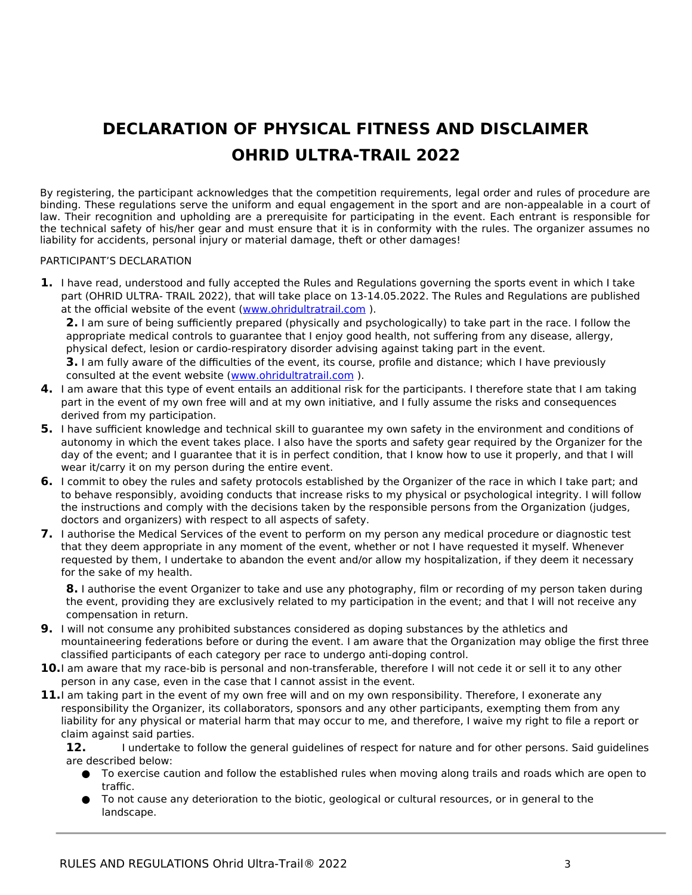# **DECLARATION OF PHYSICAL FITNESS AND DISCLAIMER OHRID ULTRA-TRAIL 2022**

By registering, the participant acknowledges that the competition requirements, legal order and rules of procedure are binding. These regulations serve the uniform and equal engagement in the sport and are non-appealable in a court of law. Their recognition and upholding are a prerequisite for participating in the event. Each entrant is responsible for the technical safety of his/her gear and must ensure that it is in conformity with the rules. The organizer assumes no liability for accidents, personal injury or material damage, theft or other damages!

## PARTICIPANT'S DECLARATION

**1.** I have read, understood and fully accepted the Rules and Regulations governing the sports event in which I take part (OHRID ULTRA- TRAIL 2022), that will take place on 13-14.05.2022. The Rules and Regulations are published at the official website of the event ([www.ohridultratrail.com](http://www.ohridultratrail.com/)).

**2.** I am sure of being sufficiently prepared (physically and psychologically) to take part in the race. I follow the appropriate medical controls to guarantee that I enjoy good health, not suffering from any disease, allergy, physical defect, lesion or cardio-respiratory disorder advising against taking part in the event.

**3.** I am fully aware of the difficulties of the event, its course, profile and distance; which I have previously consulted at the event website [\(www.ohridultratrail.com](http://www.ohridultratrail.com/) ).

- **4.** I am aware that this type of event entails an additional risk for the participants. I therefore state that I am taking part in the event of my own free will and at my own initiative, and I fully assume the risks and consequences derived from my participation.
- **5.** I have sufficient knowledge and technical skill to guarantee my own safety in the environment and conditions of autonomy in which the event takes place. I also have the sports and safety gear required by the Organizer for the day of the event; and I guarantee that it is in perfect condition, that I know how to use it properly, and that I will wear it/carry it on my person during the entire event.
- **6.** I commit to obey the rules and safety protocols established by the Organizer of the race in which I take part; and to behave responsibly, avoiding conducts that increase risks to my physical or psychological integrity. I will follow the instructions and comply with the decisions taken by the responsible persons from the Organization (judges, doctors and organizers) with respect to all aspects of safety.
- **7.** I authorise the Medical Services of the event to perform on my person any medical procedure or diagnostic test that they deem appropriate in any moment of the event, whether or not I have requested it myself. Whenever requested by them, I undertake to abandon the event and/or allow my hospitalization, if they deem it necessary for the sake of my health.

**8.** I authorise the event Organizer to take and use any photography, film or recording of my person taken during the event, providing they are exclusively related to my participation in the event; and that I will not receive any compensation in return.

- **9.** I will not consume any prohibited substances considered as doping substances by the athletics and mountaineering federations before or during the event. I am aware that the Organization may oblige the first three classified participants of each category per race to undergo anti-doping control.
- **10.**I am aware that my race-bib is personal and non-transferable, therefore I will not cede it or sell it to any other person in any case, even in the case that I cannot assist in the event.
- **11.**I am taking part in the event of my own free will and on my own responsibility. Therefore, I exonerate any responsibility the Organizer, its collaborators, sponsors and any other participants, exempting them from any liability for any physical or material harm that may occur to me, and therefore, I waive my right to file a report or claim against said parties.

**12.** I undertake to follow the general guidelines of respect for nature and for other persons. Said guidelines are described below:

- To exercise caution and follow the established rules when moving along trails and roads which are open to traffic.
- To not cause any deterioration to the biotic, geological or cultural resources, or in general to the landscape.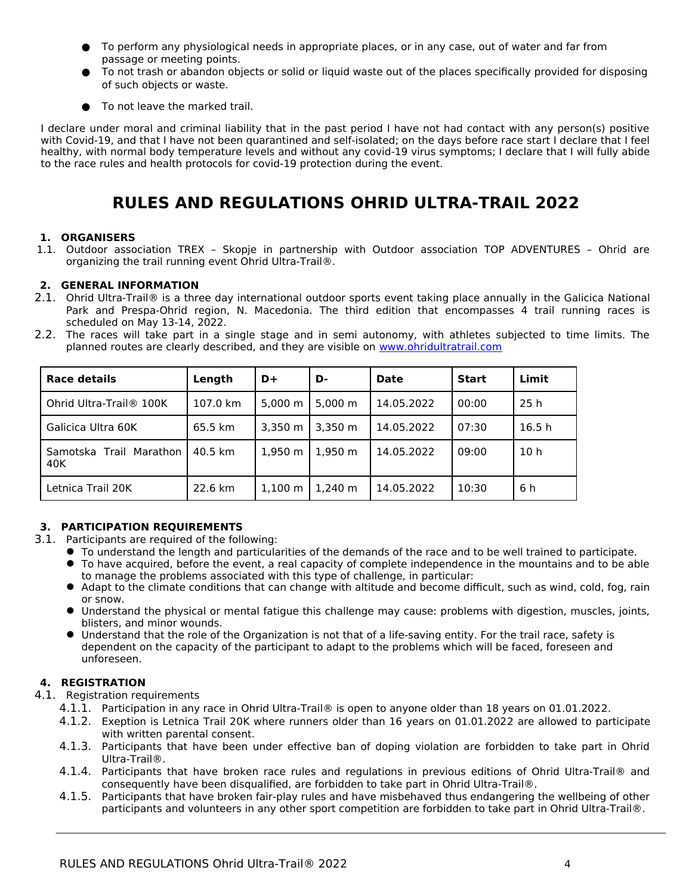- To perform any physiological needs in appropriate places, or in any case, out of water and far from passage or meeting points.
- To not trash or abandon objects or solid or liquid waste out of the places specifically provided for disposing of such objects or waste.
- To not leave the marked trail.

I declare under moral and criminal liability that in the past period I have not had contact with any person(s) positive with Covid-19, and that I have not been quarantined and self-isolated; on the days before race start I declare that I feel healthy, with normal body temperature levels and without any covid-19 virus symptoms; I declare that I will fully abide to the race rules and health protocols for covid-19 protection during the event.

## **RULES AND REGULATIONS OHRID ULTRA-TRAIL 2022**

## <span id="page-3-0"></span>**1. ORGANISERS**

1.1. Outdoor association TREX – Skopje in partnership with Outdoor association TOP ADVENTURES – Ohrid are organizing the trail running event Ohrid Ultra-Trail®.

## <span id="page-3-3"></span>**2. GENERAL INFORMATION**

- 2.1. Ohrid Ultra-Trail® is a three day international outdoor sports event taking place annually in the Galicica National Park and Prespa-Ohrid region, N. Macedonia. The third edition that encompasses 4 trail running races is scheduled on May 13-14, 2022.
- 2.2. The races will take part in a single stage and in semi autonomy, with athletes subjected to time limits. The planned routes are clearly described, and they are visible on [www.ohridultratrail.com](http://www.ohridultratrail.com/)

| Race details                        | Length   | $D+$                  | D-           | <b>Date</b> | Start | Limit           |
|-------------------------------------|----------|-----------------------|--------------|-------------|-------|-----------------|
| Ohrid Ultra-Trail <sup>®</sup> 100K | 107.0 km | $5.000 \; m$          | $5.000 \; m$ | 14.05.2022  | 00:00 | 25h             |
| Galicica Ultra 60K                  | 65.5 km  | 3,350 m               | 3,350 m      | 14.05.2022  | 07:30 | 16.5h           |
| Samotska Trail Marathon<br>40K      | 40.5 km  | $1.950 \; m$          | 1.950 m      | 14.05.2022  | 09:00 | 10 <sub>h</sub> |
| Letnica Trail 20K                   | 22.6 km  | $1,100 \; \mathrm{m}$ | $1.240 \; m$ | 14.05.2022  | 10:30 | 6 h             |

## <span id="page-3-2"></span>**3. PARTICIPATION REQUIREMENTS**

- 3.1. Participants are required of the following:
	- To understand the length and particularities of the demands of the race and to be well trained to participate.
	- To have acquired, before the event, a real capacity of complete independence in the mountains and to be able to manage the problems associated with this type of challenge, in particular:
	- Adapt to the climate conditions that can change with altitude and become difficult, such as wind, cold, fog, rain or snow.
	- Understand the physical or mental fatigue this challenge may cause: problems with digestion, muscles, joints, blisters, and minor wounds.
	- Understand that the role of the Organization is not that of a life-saving entity. For the trail race, safety is dependent on the capacity of the participant to adapt to the problems which will be faced, foreseen and unforeseen.

## <span id="page-3-1"></span>**4. REGISTRATION**

4.1. Registration requirements

- 4.1.1. Participation in any race in Ohrid Ultra-Trail® is open to anyone older than 18 years on 01.01.2022.
- 4.1.2. Exeption is Letnica Trail 20K where runners older than 16 years on 01.01.2022 are allowed to participate with written parental consent.
- 4.1.3. Participants that have been under effective ban of doping violation are forbidden to take part in Ohrid Ultra-Trail®.
- 4.1.4. Participants that have broken race rules and regulations in previous editions of Ohrid Ultra-Trail® and consequently have been disqualified, are forbidden to take part in Ohrid Ultra-Trail®.
- 4.1.5. Participants that have broken fair-play rules and have misbehaved thus endangering the wellbeing of other participants and volunteers in any other sport competition are forbidden to take part in Ohrid Ultra-Trail®.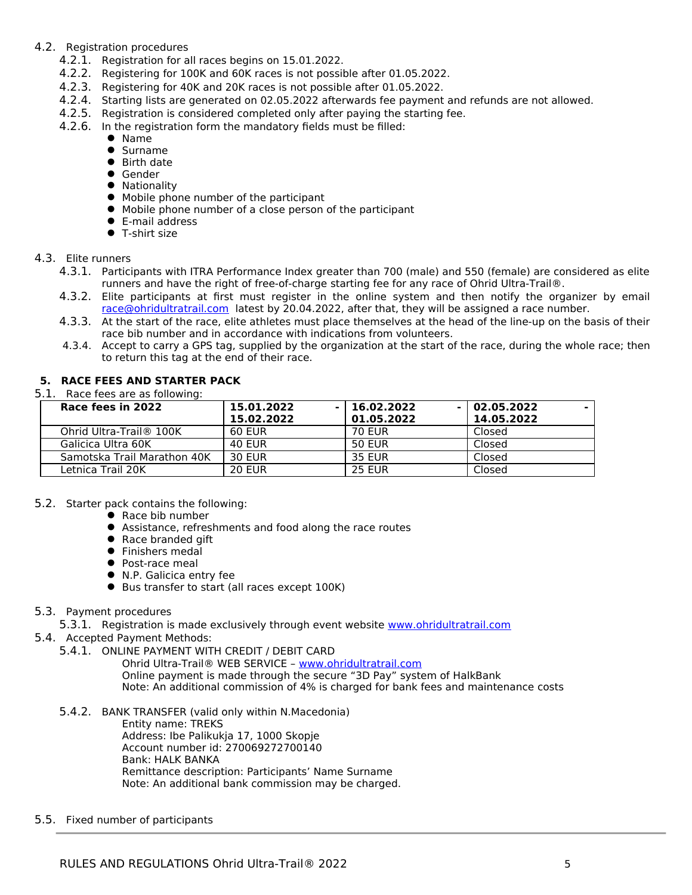- 4.2. Registration procedures
	- 4.2.1. Registration for all races begins on 15.01.2022.
	- 4.2.2. Registering for 100K and 60K races is not possible after 01.05.2022.
	- 4.2.3. Registering for 40K and 20K races is not possible after 01.05.2022.
	- 4.2.4. Starting lists are generated on 02.05.2022 afterwards fee payment and refunds are not allowed.
	- 4.2.5. Registration is considered completed only after paying the starting fee.
	- 4.2.6. In the registration form the mandatory fields must be filled:
		- Name
		- Surname
		- Birth date
		- **•** Gender
		- Nationality
		- Mobile phone number of the participant
		- Mobile phone number of a close person of the participant
		- E-mail address
		- **T-shirt size**

#### 4.3. Elite runners

- 4.3.1. Participants with ITRA Performance Index greater than 700 (male) and 550 (female) are considered as elite runners and have the right of free-of-charge starting fee for any race of Ohrid Ultra-Trail®.
- 4.3.2. Elite participants at first must register in the online system and then notify the organizer by email [race@ohridultratrail.com](mailto:race@ohridultratrail.com) latest by 20.04.2022, after that, they will be assigned a race number.
- 4.3.3. At the start of the race, elite athletes must place themselves at the head of the line-up on the basis of their race bib number and in accordance with indications from volunteers.
- 4.3.4. Accept to carry a GPS tag, supplied by the organization at the start of the race, during the whole race; then to return this tag at the end of their race.

## <span id="page-4-0"></span>**5. RACE FEES AND STARTER PACK**

5.1. Race fees are as following:

| Race fees in 2022           | 15.01.2022<br>15.02.2022 | $-16.02.2022$<br>01.05.2022 | $-102.05.2022$<br>14.05.2022 |
|-----------------------------|--------------------------|-----------------------------|------------------------------|
| Ohrid Ultra-Trail® 100K     | <b>60 EUR</b>            | <b>70 EUR</b>               | Closed                       |
| Galicica Ultra 60K          | <b>40 EUR</b>            | <b>50 EUR</b>               | Closed                       |
| Samotska Trail Marathon 40K | <b>30 EUR</b>            | 35 EUR                      | Closed                       |
| Letnica Trail 20K           | <b>20 EUR</b>            | <b>25 EUR</b>               | Closed                       |

## 5.2. Starter pack contains the following:

- Race bib number
- Assistance, refreshments and food along the race routes
- Race branded gift
- **•** Finishers medal
- Post-race meal
- N.P. Galicica entry fee
- Bus transfer to start (all races except 100K)

## 5.3. Payment procedures

5.3.1. Registration is made exclusively through event website [www.ohridultratrail.com](http://www.ohridultratrail.com/)

- 5.4. Accepted Payment Methods:
	- 5.4.1. ONLINE PAYMENT WITH CREDIT / DEBIT CARD
		- Ohrid Ultra-Trail® WEB SERVICE – [www.ohridultratrail.com](http://www.ohridultratrail.com/) Online payment is made through the secure "3D Pay" system of HalkBank Note: An additional commission of 4% is charged for bank fees and maintenance costs
		- 5.4.2. BANK TRANSFER (valid only within N.Macedonia)

Entity name: TREKS Address: Ibe Palikukja 17, 1000 Skopje Account number id: 270069272700140 Bank: HALK BANKA Remittance description: Participants' Name Surname Note: An additional bank commission may be charged.

5.5. Fixed number of participants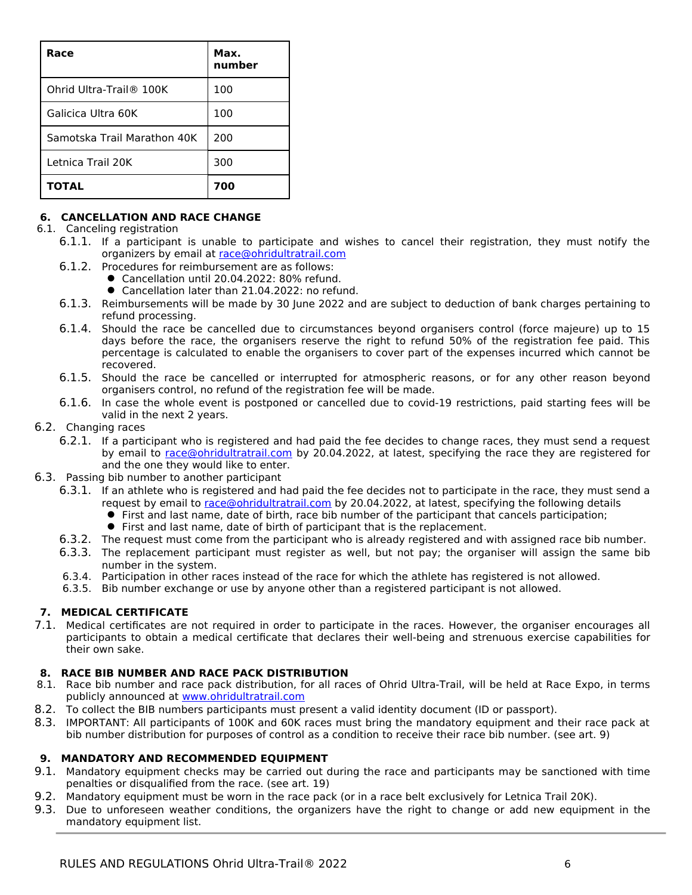| Race                        | Max.<br>number |
|-----------------------------|----------------|
| Ohrid Ultra-Trail® 100K     | 100            |
| Galicica Ultra 60K          | 100            |
| Samotska Trail Marathon 40K | 200            |
| Letnica Trail 20K           | 300            |
| <b>TOTAL</b>                | 700            |

## <span id="page-5-3"></span>**6. CANCELLATION AND RACE CHANGE**

## 6.1. Canceling registration

- 6.1.1. If a participant is unable to participate and wishes to cancel their registration, they must notify the organizers by email at [race@ohridultratrail.com](mailto:race@ohridultratrail.com)
- 6.1.2. Procedures for reimbursement are as follows:
	- Cancellation until 20.04.2022: 80% refund.
		- Cancellation later than 21.04.2022: no refund.
- 6.1.3. Reimbursements will be made by 30 June 2022 and are subject to deduction of bank charges pertaining to refund processing.
- 6.1.4. Should the race be cancelled due to circumstances beyond organisers control (force majeure) up to 15 days before the race, the organisers reserve the right to refund 50% of the registration fee paid. This percentage is calculated to enable the organisers to cover part of the expenses incurred which cannot be recovered.
- 6.1.5. Should the race be cancelled or interrupted for atmospheric reasons, or for any other reason beyond organisers control, no refund of the registration fee will be made.
- 6.1.6. In case the whole event is postponed or cancelled due to covid-19 restrictions, paid starting fees will be valid in the next 2 years.

## 6.2. Changing races

- 6.2.1. If a participant who is registered and had paid the fee decides to change races, they must send a request by email to [race@ohridultratrail.com](mailto:race@ohridultratrail.com) by 20.04.2022, at latest, specifying the race they are registered for and the one they would like to enter.
- 6.3. Passing bib number to another participant
	- 6.3.1. If an athlete who is registered and had paid the fee decides not to participate in the race, they must send a request by email to [race@ohridultratrail.com](mailto:race@ohridultratrail.com) by 20.04.2022, at latest, specifying the following details
		- First and last name, date of birth, race bib number of the participant that cancels participation;
			- First and last name, date of birth of participant that is the replacement.
	- 6.3.2. The request must come from the participant who is already registered and with assigned race bib number.
	- 6.3.3. The replacement participant must register as well, but not pay; the organiser will assign the same bib number in the system.
	- 6.3.4. Participation in other races instead of the race for which the athlete has registered is not allowed.
	- 6.3.5. Bib number exchange or use by anyone other than a registered participant is not allowed.

## <span id="page-5-2"></span>**7. MEDICAL CERTIFICATE**

7.1. Medical certificates are not required in order to participate in the races. However, the organiser encourages all participants to obtain a medical certificate that declares their well-being and strenuous exercise capabilities for their own sake.

## <span id="page-5-1"></span>**8. RACE BIB NUMBER AND RACE PACK DISTRIBUTION**

- 8.1. Race bib number and race pack distribution, for all races of Ohrid Ultra-Trail, will be held at Race Expo, in terms publicly announced at [www.ohridultratrail.com](http://www.ohridultratrail.com/)
- 8.2. To collect the BIB numbers participants must present a valid identity document (ID or passport).
- 8.3. IMPORTANT: All participants of 100K and 60K races must bring the mandatory equipment and their race pack at bib number distribution for purposes of control as a condition to receive their race bib number. (see art. 9)

## <span id="page-5-0"></span>**9. MANDATORY AND RECOMMENDED EQUIPMENT**

- 9.1. Mandatory equipment checks may be carried out during the race and participants may be sanctioned with time penalties or disqualified from the race. (see art. 19)
- 9.2. Mandatory equipment must be worn in the race pack (or in a race belt exclusively for Letnica Trail 20K).
- 9.3. Due to unforeseen weather conditions, the organizers have the right to change or add new equipment in the mandatory equipment list.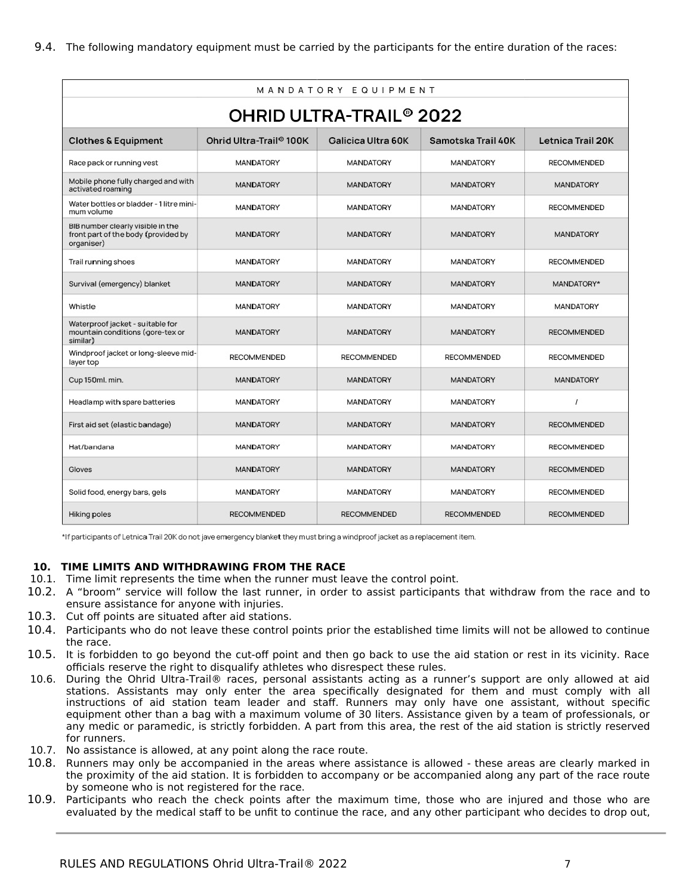| MANDATORY<br>EQUIPMENT                                                                 |                                                                                                      |                    |                    |                    |  |  |  |  |  |  |  |
|----------------------------------------------------------------------------------------|------------------------------------------------------------------------------------------------------|--------------------|--------------------|--------------------|--|--|--|--|--|--|--|
| OHRID ULTRA-TRAIL <sup>®</sup> 2022                                                    |                                                                                                      |                    |                    |                    |  |  |  |  |  |  |  |
| <b>Clothes &amp; Equipment</b>                                                         | Letnica Trail 20K<br>Ohrid Ultra-Trail <sup>®</sup> 100K<br>Galicica Ultra 60K<br>Samotska Trail 40K |                    |                    |                    |  |  |  |  |  |  |  |
| Race pack or running vest                                                              | MANDATORY                                                                                            | <b>MANDATORY</b>   | <b>MANDATORY</b>   | <b>RECOMMENDED</b> |  |  |  |  |  |  |  |
| Mobile phone fully charged and with<br>activated roaming                               | <b>MANDATORY</b>                                                                                     | <b>MANDATORY</b>   | <b>MANDATORY</b>   | <b>MANDATORY</b>   |  |  |  |  |  |  |  |
| Water bottles or bladder - 1 litre mini-<br>mum volume                                 | MANDATORY                                                                                            | MANDATORY          | MANDATORY          | <b>RECOMMENDED</b> |  |  |  |  |  |  |  |
| BIB number clearly visible in the<br>front part of the body (provided by<br>organiser) | <b>MANDATORY</b>                                                                                     | <b>MANDATORY</b>   | <b>MANDATORY</b>   | <b>MANDATORY</b>   |  |  |  |  |  |  |  |
| Trail running shoes                                                                    | MANDATORY                                                                                            | MANDATORY          | MANDATORY          | RECOMMENDED        |  |  |  |  |  |  |  |
| Survival (emergency) blanket                                                           | <b>MANDATORY</b>                                                                                     | <b>MANDATORY</b>   | <b>MANDATORY</b>   | MANDATORY*         |  |  |  |  |  |  |  |
| Whistle                                                                                | MANDATORY                                                                                            | MANDATORY          | MANDATORY          | MANDATORY          |  |  |  |  |  |  |  |
| Waterproof jacket - suitable for<br>mountain conditions (gore-tex or<br>similar)       | <b>MANDATORY</b>                                                                                     | <b>MANDATORY</b>   | <b>MANDATORY</b>   | <b>RECOMMENDED</b> |  |  |  |  |  |  |  |
| Windproof jacket or long-sleeve mid-<br>layer top                                      | RECOMMENDED                                                                                          | <b>RECOMMENDED</b> | RECOMMENDED        | <b>RECOMMENDED</b> |  |  |  |  |  |  |  |
| Cup 150ml. min.                                                                        | <b>MANDATORY</b>                                                                                     | <b>MANDATORY</b>   | <b>MANDATORY</b>   | <b>MANDATORY</b>   |  |  |  |  |  |  |  |
| Headlamp with spare batteries                                                          | MANDATORY                                                                                            | <b>MANDATORY</b>   | MANDATORY          | 1                  |  |  |  |  |  |  |  |
| First aid set (elastic bandage)                                                        | <b>MANDATORY</b>                                                                                     | <b>MANDATORY</b>   | <b>MANDATORY</b>   | <b>RECOMMENDED</b> |  |  |  |  |  |  |  |
| Hat/bandana                                                                            | <b>MANDATORY</b>                                                                                     | <b>MANDATORY</b>   | <b>MANDATORY</b>   | <b>RECOMMENDED</b> |  |  |  |  |  |  |  |
| Gloves                                                                                 | <b>MANDATORY</b>                                                                                     | <b>MANDATORY</b>   | <b>MANDATORY</b>   | <b>RECOMMENDED</b> |  |  |  |  |  |  |  |
| Solid food, energy bars, gels                                                          | <b>MANDATORY</b>                                                                                     | <b>MANDATORY</b>   | MANDATORY          | <b>RECOMMENDED</b> |  |  |  |  |  |  |  |
| <b>Hiking poles</b>                                                                    | <b>RECOMMENDED</b>                                                                                   | <b>RECOMMENDED</b> | <b>RECOMMENDED</b> | <b>RECOMMENDED</b> |  |  |  |  |  |  |  |

<span id="page-6-0"></span>\*If participants of Letnica Trail 20K do not jave emergency blanket they must bring a windproof jacket as a replacement item.

## **10. TIME LIMITS AND WITHDRAWING FROM THE RACE**

- 10.1. Time limit represents the time when the runner must leave the control point.
- 10.2. A "broom" service will follow the last runner, in order to assist participants that withdraw from the race and to ensure assistance for anyone with injuries.
- 10.3. Cut off points are situated after aid stations.
- 10.4. Participants who do not leave these control points prior the established time limits will not be allowed to continue the race.
- 10.5. It is forbidden to go beyond the cut-off point and then go back to use the aid station or rest in its vicinity. Race officials reserve the right to disqualify athletes who disrespect these rules.
- 10.6. During the Ohrid Ultra-Trail® races, personal assistants acting as a runner's support are only allowed at aid stations. Assistants may only enter the area specifically designated for them and must comply with all instructions of aid station team leader and staff. Runners may only have one assistant, without specific equipment other than a bag with a maximum volume of 30 liters. Assistance given by a team of professionals, or any medic or paramedic, is strictly forbidden. A part from this area, the rest of the aid station is strictly reserved for runners.
- 10.7. No assistance is allowed, at any point along the race route.
- 10.8. Runners may only be accompanied in the areas where assistance is allowed these areas are clearly marked in the proximity of the aid station. It is forbidden to accompany or be accompanied along any part of the race route by someone who is not registered for the race.
- 10.9. Participants who reach the check points after the maximum time, those who are injured and those who are evaluated by the medical staff to be unfit to continue the race, and any other participant who decides to drop out,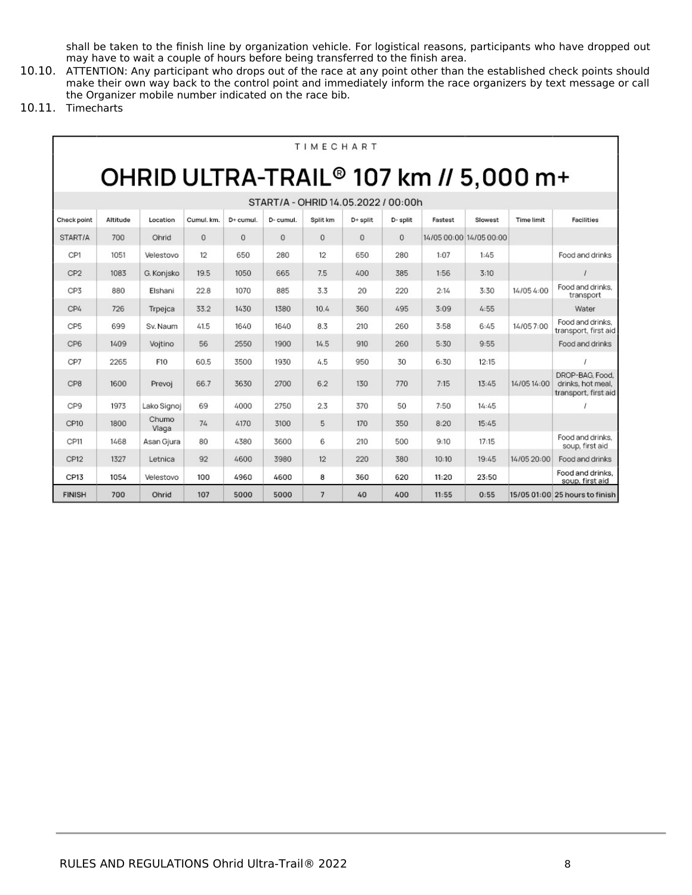shall be taken to the finish line by organization vehicle. For logistical reasons, participants who have dropped out may have to wait a couple of hours before being transferred to the finish area.

10.10. ATTENTION: Any participant who drops out of the race at any point other than the established check points should make their own way back to the control point and immediately inform the race organizers by text message or call the Organizer mobile number indicated on the race bib.

10.11. Timecharts

|                  | TIMECHART                                         |                |              |             |             |                |             |              |         |                         |                   |                                                              |  |
|------------------|---------------------------------------------------|----------------|--------------|-------------|-------------|----------------|-------------|--------------|---------|-------------------------|-------------------|--------------------------------------------------------------|--|
|                  | OHRID ULTRA-TRAIL <sup>®</sup> 107 km // 5,000 m+ |                |              |             |             |                |             |              |         |                         |                   |                                                              |  |
|                  | START/A - OHRID 14.05.2022 / 00:00h               |                |              |             |             |                |             |              |         |                         |                   |                                                              |  |
| Check point      | Altitude                                          | Location       | Cumul. km.   | D+ cumul.   | D-cumul.    | Split km       | D+ split    | D-split      | Fastest | Slowest                 | <b>Time limit</b> | <b>Facilities</b>                                            |  |
| START/A          | 700                                               | Ohrid          | $\mathbf{0}$ | $\mathbf 0$ | $\mathbf 0$ | $\mathbf 0$    | $\mathbf 0$ | $\mathbf{0}$ |         | 14/05 00:00 14/05 00:00 |                   |                                                              |  |
| CP1              | 1051                                              | Velestovo      | 12           | 650         | 280         | 12             | 650         | 280          | 1:07    | 1:45                    |                   | Food and drinks                                              |  |
| CP <sub>2</sub>  | 1083                                              | G. Konjsko     | 19.5         | 1050        | 665         | 7.5            | 400         | 385          | 1:56    | 3:10                    |                   |                                                              |  |
| CP <sub>3</sub>  | 880                                               | Elshani        | 22.8         | 1070        | 885         | 3.3            | 20          | 220          | 2:14    | 3:30                    | 14/05 4:00        | Food and drinks.<br>transport                                |  |
| CP4              | 726                                               | Trpejca        | 33.2         | 1430        | 1380        | 10.4           | 360         | 495          | 3:09    | 4:55                    |                   | Water                                                        |  |
| CP <sub>5</sub>  | 699                                               | Sv. Naum       | 41.5         | 1640        | 1640        | 8.3            | 210         | 260          | 3:58    | 6:45                    | 14/057:00         | Food and drinks,<br>transport, first aid                     |  |
| CP6              | 1409                                              | Vojtino        | 56           | 2550        | 1900        | 14.5           | 910         | 260          | 5:30    | 9:55                    |                   | Food and drinks                                              |  |
| CP7              | 2265                                              | F10            | 60.5         | 3500        | 1930        | 4.5            | 950         | 30           | 6:30    | 12:15                   |                   | $\overline{I}$                                               |  |
| CP8              | 1600                                              | Prevoj         | 66.7         | 3630        | 2700        | 6.2            | 130         | 770          | 7:15    | 13:45                   | 14/05 14:00       | DROP-BAG, Food.<br>drinks, hot meal,<br>transport, first aid |  |
| CP <sub>9</sub>  | 1973                                              | Lako Signoj    | 69           | 4000        | 2750        | 2.3            | 370         | 50           | 7:50    | 14:45                   |                   |                                                              |  |
| CP <sub>10</sub> | 1800                                              | Chumo<br>Vlaga | 74           | 4170        | 3100        | 5              | 170         | 350          | 8:20    | 15:45                   |                   |                                                              |  |
| CP <sub>11</sub> | 1468                                              | Asan Gjura     | 80           | 4380        | 3600        | 6              | 210         | 500          | 9:10    | 17:15                   |                   | Food and drinks.<br>soup, first aid                          |  |
| CP <sub>12</sub> | 1327                                              | Letnica        | 92           | 4600        | 3980        | 12             | 220         | 380          | 10:10   | 19:45                   | 14/05 20:00       | Food and drinks                                              |  |
| CP13             | 1054                                              | Velestovo      | 100          | 4960        | 4600        | 8              | 360         | 620          | 11:20   | 23:50                   |                   | Food and drinks.<br>soup, first aid                          |  |
| <b>FINISH</b>    | 700                                               | Ohrid          | 107          | 5000        | 5000        | $\overline{7}$ | 40          | 400          | 11:55   | 0:55                    |                   | 15/05 01:00 25 hours to finish                               |  |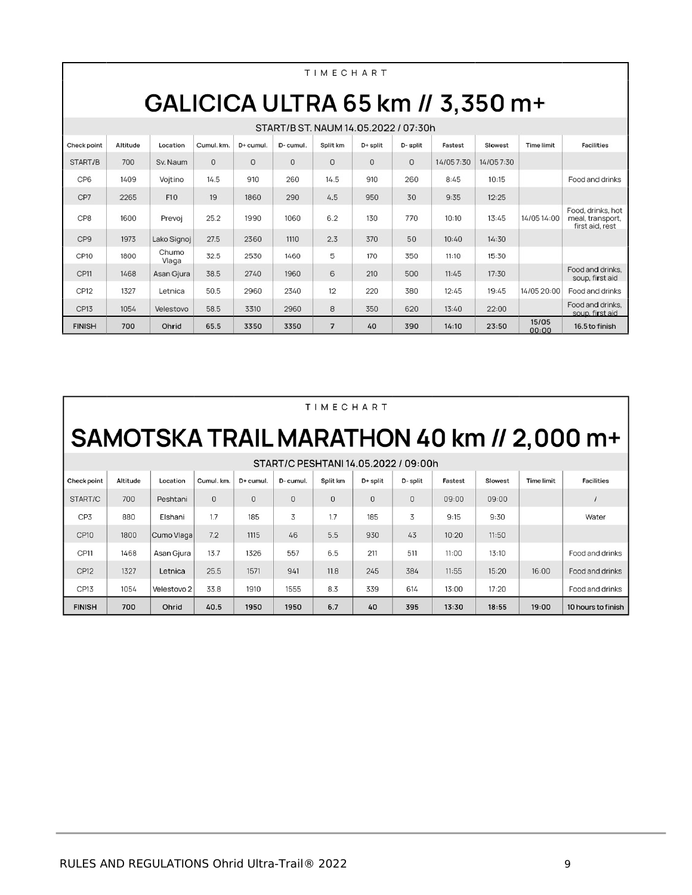|                  | TIMECHART                            |                |            |           |             |                |            |              |            |            |                   |                                                          |  |  |
|------------------|--------------------------------------|----------------|------------|-----------|-------------|----------------|------------|--------------|------------|------------|-------------------|----------------------------------------------------------|--|--|
|                  | GALICICA ULTRA 65 km // 3,350 m+     |                |            |           |             |                |            |              |            |            |                   |                                                          |  |  |
|                  | START/B ST, NAUM 14.05.2022 / 07:30h |                |            |           |             |                |            |              |            |            |                   |                                                          |  |  |
| Check point      | Altitude                             | Location       | Cumul, km. | D+ cumul. | D-cumul.    | Split km       | $D+$ split | D-split      | Fastest    | Slowest    | <b>Time limit</b> | <b>Facilities</b>                                        |  |  |
| START/B          | 700                                  | Sv. Naum       | $\Omega$   | $\circ$   | $\mathbf 0$ | $\mathbf 0$    | $\Omega$   | $\mathbf{0}$ | 14/05 7:30 | 14/05 7:30 |                   |                                                          |  |  |
| CP <sub>6</sub>  | 1409                                 | Vojtino        | 14.5       | 910       | 260         | 14.5           | 910        | 260          | 8:45       | 10:15      |                   | Food and drinks                                          |  |  |
| CP7              | 2265                                 | F10            | 19         | 1860      | 290         | 4.5            | 950        | 30           | 9:35       | 12:25      |                   |                                                          |  |  |
| CP8              | 1600                                 | Prevoi         | 25.2       | 1990      | 1060        | 6.2            | 130        | 770          | 10:10      | 13:45      | 14/05 14:00       | Food, drinks, hot<br>meal, transport,<br>first aid, rest |  |  |
| CP <sub>9</sub>  | 1973                                 | Lako Signoj    | 27.5       | 2360      | 1110        | 2.3            | 370        | 50           | 10:40      | 14:30      |                   |                                                          |  |  |
| CP <sub>10</sub> | 1800                                 | Chumo<br>Vlaga | 32.5       | 2530      | 1460        | 5              | 170        | 350          | 11:10      | 15:30      |                   |                                                          |  |  |
| CP <sub>11</sub> | 1468                                 | Asan Giura     | 38.5       | 2740      | 1960        | 6              | 210        | 500          | 11:45      | 17:30      |                   | Food and drinks.<br>soup, first aid                      |  |  |
| CP <sub>12</sub> | 1327                                 | Letnica        | 50.5       | 2960      | 2340        | 12             | 220        | 380          | 12:45      | 19:45      | 14/05 20:00       | Food and drinks                                          |  |  |
| CP <sub>13</sub> | 1054                                 | Velestovo      | 58.5       | 3310      | 2960        | 8              | 350        | 620          | 13:40      | 22:00      |                   | Food and drinks.<br>soup, first aid                      |  |  |
| <b>FINISH</b>    | 700                                  | Ohrid          | 65.5       | 3350      | 3350        | $\overline{7}$ | 40         | 390          | 14:10      | 23:50      | 15/05<br>00:00    | 16.5 to finish                                           |  |  |

|                                      | MECHART                                   |             |            |              |              |          |          |          |         |         |                   |                    |  |
|--------------------------------------|-------------------------------------------|-------------|------------|--------------|--------------|----------|----------|----------|---------|---------|-------------------|--------------------|--|
|                                      | SAMOTSKA TRAIL MARATHON 40 km // 2,000 m+ |             |            |              |              |          |          |          |         |         |                   |                    |  |
| START/C PESHTANI 14.05.2022 / 09:00h |                                           |             |            |              |              |          |          |          |         |         |                   |                    |  |
| Check point                          | Altitude                                  | Location    | Cumul. km. | D+ cumul.    | D-cumul.     | Split km | D+ split | D-split  | Fastest | Slowest | <b>Time limit</b> | <b>Facilities</b>  |  |
| START/C                              | 700                                       | Peshtani    | $\Omega$   | $\mathbf{0}$ | $\mathbf{0}$ | $\Omega$ | $\Omega$ | $\Omega$ | 09:00   | 09:00   |                   |                    |  |
| CP <sub>3</sub>                      | 880                                       | Elshani     | 17         | 185          | 3            | 1.7      | 185      | 3        | 9:15    | 9:30    |                   | Water              |  |
| <b>CP10</b>                          | 1800                                      | Cumo Vlaga  | 7.2        | 1115         | 46           | 5.5      | 930      | 43       | 10:20   | 11:50   |                   |                    |  |
| CP11                                 | 1468                                      | Asan Gjura  | 13.7       | 1326         | 557          | 6.5      | 211      | 511      | 11:00   | 13:10   |                   | Food and drinks    |  |
| <b>CP12</b>                          | 1327                                      | Letnica     | 25.5       | 1571         | 941          | 11.8     | 245      | 384      | 11:55   | 15:20   | 16:00             | Food and drinks    |  |
| CP13                                 | 1054                                      | Velestovo 2 | 33.8       | 1910         | 1555         | 8.3      | 339      | 614      | 13:00   | 17:20   |                   | Food and drinks    |  |
| <b>FINISH</b>                        | 700                                       | Ohrid       | 40.5       | 1950         | 1950         | 6.7      | 40       | 395      | 13:30   | 18:55   | 19:00             | 10 hours to finish |  |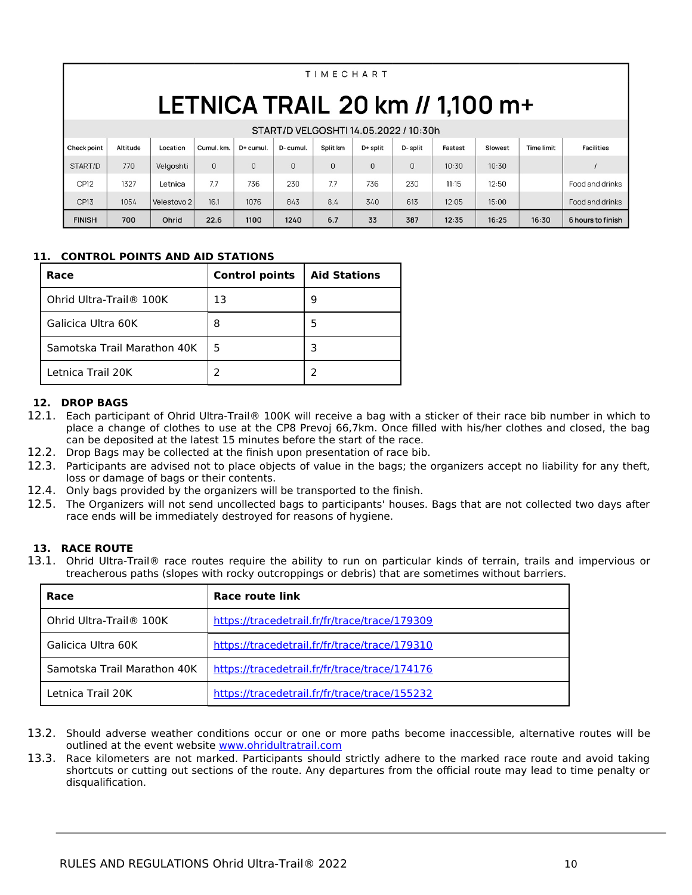LETNICA TRAIL 20 km // 1,100 m+ START/D VELGOSHTI 14.05.2022 / 10:30h Check point Altitude Location Cumul km D+ cumul. D-cumul. Split km D+ split D-split Fastest Slowest **Time limit Facilities** START/D  $\overline{0}$  $\overline{0}$  $\overline{0}$  $\overline{0}$  $10:30$ 770 Velgoshti  $\overline{0}$  $\overline{0}$  $10:30$  $\overline{1}$ CP<sub>12</sub> 736 230 736 230  $11:15$ 1327 Letnica  $7.7$  $7.7$  $12:50$ Food and drinks 1076 843 613  $12:05$  $CP13$ 1054 Velestovo 2 16.1  $84$ 340  $15:00$ Food and drinks  $22.6$ 1100 1240  $6.7$ 33 387  $12:35$  $16:25$ 16:30 **FINISH** 700 Ohrid 6 hours to finish

TIMECHART

## <span id="page-9-3"></span>**11. CONTROL POINTS AND AID STATIONS**

| Race                                | <b>Control points</b> | <b>Aid Stations</b> |
|-------------------------------------|-----------------------|---------------------|
| Ohrid Ultra-Trail <sup>®</sup> 100K | 13                    | q                   |
| Galicica Ultra 60K                  | 8                     |                     |
| Samotska Trail Marathon 40K         | 5                     |                     |
| Letnica Trail 20K                   |                       |                     |

## <span id="page-9-2"></span><span id="page-9-1"></span>**12. DROP BAGS**

- 12.1. Each participant of Ohrid Ultra-Trail® 100К will receive a bag with a sticker of their race bib number in which to place a change of clothes to use at the CP8 Prevoj 66,7km. Once filled with his/her clothes and closed, the bag can be deposited at the latest 15 minutes before the start of the race.
- 12.2. Drop Bags may be collected at the finish upon presentation of race bib.
- 12.3. Participants are advised not to place objects of value in the bags; the organizers accept no liability for any theft, loss or damage of bags or their contents.
- 12.4. Only bags provided by the organizers will be transported to the finish.
- 12.5. The Organizers will not send uncollected bags to participants' houses. Bags that are not collected two days after race ends will be immediately destroyed for reasons of hygiene.

## <span id="page-9-0"></span>**13. RACE ROUTE**

13.1. Ohrid Ultra-Trail® race routes require the ability to run on particular kinds of terrain, trails and impervious or treacherous paths (slopes with rocky outcroppings or debris) that are sometimes without barriers.

| Race                        | Race route link                               |
|-----------------------------|-----------------------------------------------|
| Ohrid Ultra-Trail® 100K     | https://tracedetrail.fr/fr/trace/trace/179309 |
| Galicica Ultra 60K          | https://tracedetrail.fr/fr/trace/trace/179310 |
| Samotska Trail Marathon 40K | https://tracedetrail.fr/fr/trace/trace/174176 |
| Letnica Trail 20K           | https://tracedetrail.fr/fr/trace/trace/155232 |

- 13.2. Should adverse weather conditions occur or one or more paths become inaccessible, alternative routes will be outlined at the event website [www.ohridultratrail.com](http://www.ohridultratrail.com/)
- 13.3. Race kilometers are not marked. Participants should strictly adhere to the marked race route and avoid taking shortcuts or cutting out sections of the route. Any departures from the official route may lead to time penalty or disqualification.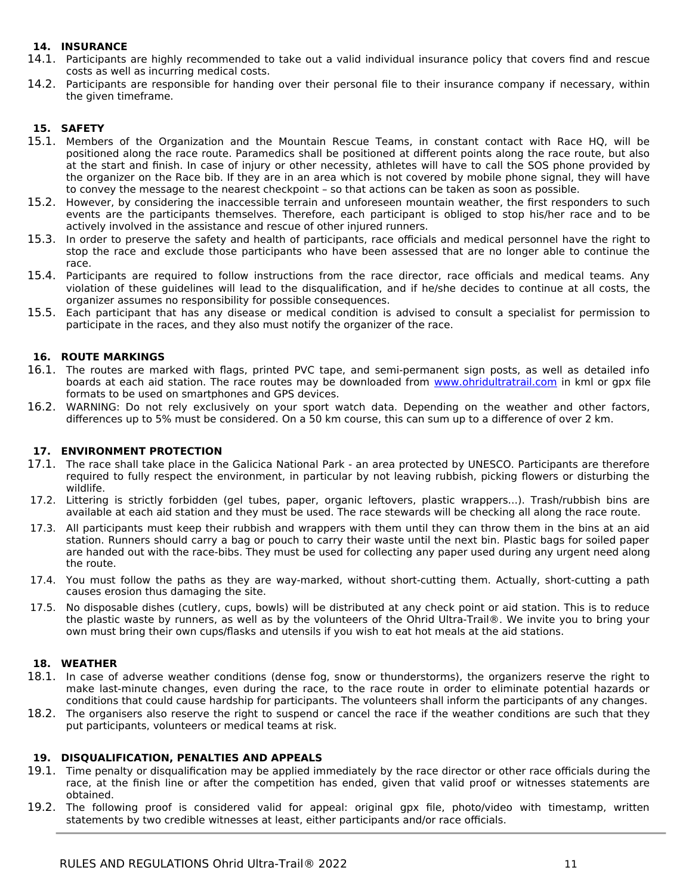## <span id="page-10-5"></span>**14. INSURANCE**

- 14.1. Participants are highly recommended to take out a valid individual insurance policy that covers find and rescue costs as well as incurring medical costs.
- 14.2. Participants are responsible for handing over their personal file to their insurance company if necessary, within the given timeframe.

## <span id="page-10-4"></span>**15. SAFETY**

- 15.1. Members of the Organization and the Mountain Rescue Teams, in constant contact with Race HQ, will be positioned along the race route. Paramedics shall be positioned at different points along the race route, but also at the start and finish. In case of injury or other necessity, athletes will have to call the SOS phone provided by the organizer on the Race bib. If they are in an area which is not covered by mobile phone signal, they will have to convey the message to the nearest checkpoint – so that actions can be taken as soon as possible.
- 15.2. However, by considering the inaccessible terrain and unforeseen mountain weather, the first responders to such events are the participants themselves. Therefore, each participant is obliged to stop his/her race and to be actively involved in the assistance and rescue of other injured runners.
- 15.3. In order to preserve the safety and health of participants, race officials and medical personnel have the right to stop the race and exclude those participants who have been assessed that are no longer able to continue the race.
- 15.4. Participants are required to follow instructions from the race director, race officials and medical teams. Any violation of these guidelines will lead to the disqualification, and if he/she decides to continue at all costs, the organizer assumes no responsibility for possible consequences.
- 15.5. Each participant that has any disease or medical condition is advised to consult a specialist for permission to participate in the races, and they also must notify the organizer of the race.

## <span id="page-10-3"></span>**16. ROUTE MARKINGS**

- 16.1. The routes are marked with flags, printed PVC tape, and semi-permanent sign posts, as well as detailed info boards at each aid station. The race routes may be downloaded from [www.ohridultratrail.com](http://www.ohridultratrail.com/) in kml or gpx file formats to be used on smartphones and GPS devices.
- 16.2. WARNING: Do not rely exclusively on your sport watch data. Depending on the weather and other factors, differences up to 5% must be considered. On a 50 km course, this can sum up to a difference of over 2 km.

## <span id="page-10-2"></span>**17. ENVIRONMENT PROTECTION**

- 17.1. The race shall take place in the Galicica National Park an area protected by UNESCO. Participants are therefore required to fully respect the environment, in particular by not leaving rubbish, picking flowers or disturbing the wildlife.
- 17.2. Littering is strictly forbidden (gel tubes, paper, organic leftovers, plastic wrappers...). Trash/rubbish bins are available at each aid station and they must be used. The race stewards will be checking all along the race route.
- 17.3. All participants must keep their rubbish and wrappers with them until they can throw them in the bins at an aid station. Runners should carry a bag or pouch to carry their waste until the next bin. Plastic bags for soiled paper are handed out with the race-bibs. They must be used for collecting any paper used during any urgent need along the route.
- 17.4. You must follow the paths as they are way-marked, without short-cutting them. Actually, short-cutting a path causes erosion thus damaging the site.
- 17.5. No disposable dishes (cutlery, cups, bowls) will be distributed at any check point or aid station. This is to reduce the plastic waste by runners, as well as by the volunteers of the Ohrid Ultra-Trail®. We invite you to bring your own must bring their own cups/flasks and utensils if you wish to eat hot meals at the aid stations.

## <span id="page-10-1"></span>**18. WEATHER**

- 18.1. In case of adverse weather conditions (dense fog, snow or thunderstorms), the organizers reserve the right to make last-minute changes, even during the race, to the race route in order to eliminate potential hazards or conditions that could cause hardship for participants. The volunteers shall inform the participants of any changes.
- 18.2. The organisers also reserve the right to suspend or cancel the race if the weather conditions are such that they put participants, volunteers or medical teams at risk.

## <span id="page-10-0"></span>**19. DISQUALIFICATION, PENALTIES AND APPEALS**

- 19.1. Time penalty or disqualification may be applied immediately by the race director or other race officials during the race, at the finish line or after the competition has ended, given that valid proof or witnesses statements are obtained.
- 19.2. The following proof is considered valid for appeal: original gpx file, photo/video with timestamp, written statements by two credible witnesses at least, either participants and/or race officials.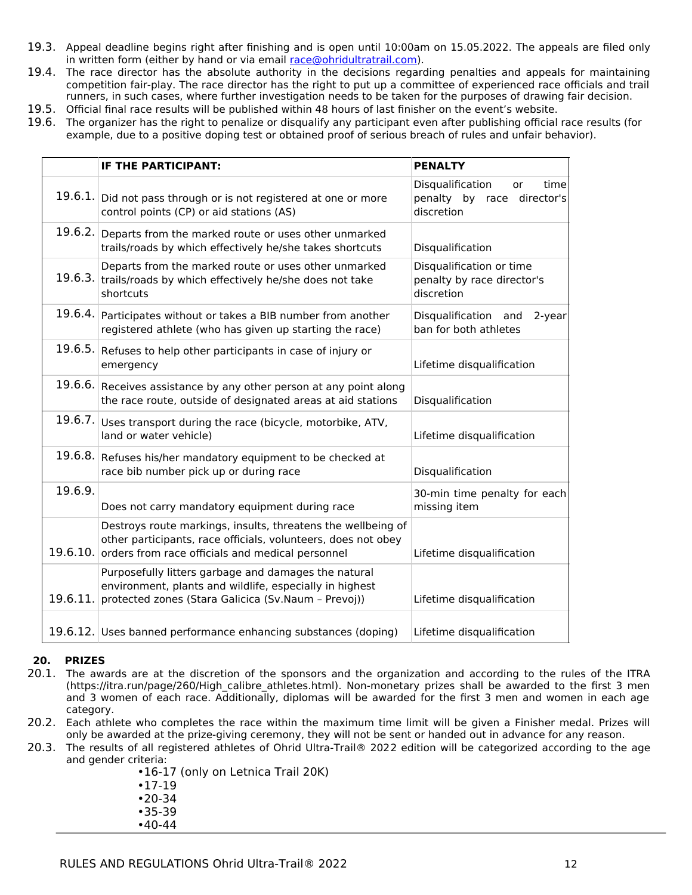- 19.3. Appeal deadline begins right after finishing and is open until 10:00am on 15.05.2022. The appeals are filed only in written form (either by hand or via email [race@ohridultratrail.com](mailto:race@ohridultratrail.com)).
- 19.4. The race director has the absolute authority in the decisions regarding penalties and appeals for maintaining competition fair-play. The race director has the right to put up a committee of experienced race officials and trail runners, in such cases, where further investigation needs to be taken for the purposes of drawing fair decision.
- 19.5. Official final race results will be published within 48 hours of last finisher on the event's website.
- 19.6. The organizer has the right to penalize or disqualify any participant even after publishing official race results (for example, due to a positive doping test or obtained proof of serious breach of rules and unfair behavior).

|          | IF THE PARTICIPANT:                                                                                                                                                               | <b>PENALTY</b>                                                                |
|----------|-----------------------------------------------------------------------------------------------------------------------------------------------------------------------------------|-------------------------------------------------------------------------------|
| 19.6.1.  | Did not pass through or is not registered at one or more<br>control points (CP) or aid stations (AS)                                                                              | Disqualification<br>time<br>or<br>penalty by race<br>director's<br>discretion |
| 19.6.2.  | Departs from the marked route or uses other unmarked<br>trails/roads by which effectively he/she takes shortcuts                                                                  | Disqualification                                                              |
|          | Departs from the marked route or uses other unmarked<br>19.6.3. trails/roads by which effectively he/she does not take<br>shortcuts                                               | Disqualification or time<br>penalty by race director's<br>discretion          |
| 19.6.4.  | Participates without or takes a BIB number from another<br>registered athlete (who has given up starting the race)                                                                | Disqualification and<br>2-year<br>ban for both athletes                       |
| 19.6.5.  | Refuses to help other participants in case of injury or<br>emergency                                                                                                              | Lifetime disqualification                                                     |
| 19.6.6.  | Receives assistance by any other person at any point along<br>the race route, outside of designated areas at aid stations                                                         | Disqualification                                                              |
| 19.6.7.  | Uses transport during the race (bicycle, motorbike, ATV,<br>land or water vehicle)                                                                                                | Lifetime disqualification                                                     |
| 19.6.8.  | Refuses his/her mandatory equipment to be checked at<br>race bib number pick up or during race                                                                                    | Disqualification                                                              |
| 19.6.9.  | Does not carry mandatory equipment during race                                                                                                                                    | 30-min time penalty for each<br>missing item                                  |
| 19.6.10. | Destroys route markings, insults, threatens the wellbeing of<br>other participants, race officials, volunteers, does not obey<br>orders from race officials and medical personnel | Lifetime disqualification                                                     |
| 19.6.11. | Purposefully litters garbage and damages the natural<br>environment, plants and wildlife, especially in highest<br>protected zones (Stara Galicica (Sv.Naum - Prevoj))            | Lifetime disqualification                                                     |
|          | 19.6.12. Uses banned performance enhancing substances (doping)                                                                                                                    | Lifetime disqualification                                                     |

## <span id="page-11-0"></span>**20. PRIZES**

- 20.1. The awards are at the discretion of the sponsors and the organization and according to the rules of the ITRA (https://itra.run/page/260/High calibre athletes.html). Non-monetary prizes shall be awarded to the first 3 men and 3 women of each race. Additionally, diplomas will be awarded for the first 3 men and women in each age category.
- 20.2. Each athlete who completes the race within the maximum time limit will be given a Finisher medal. Prizes will only be awarded at the prize-giving ceremony, they will not be sent or handed out in advance for any reason.
- 20.3. The results of all registered athletes of Ohrid Ultra-Trail® 2022 edition will be categorized according to the age and gender criteria:

•16-17 (only on Letnica Trail 20K)

- •17-19<br>•20-34 •20-34
- •35-39
- •40-44